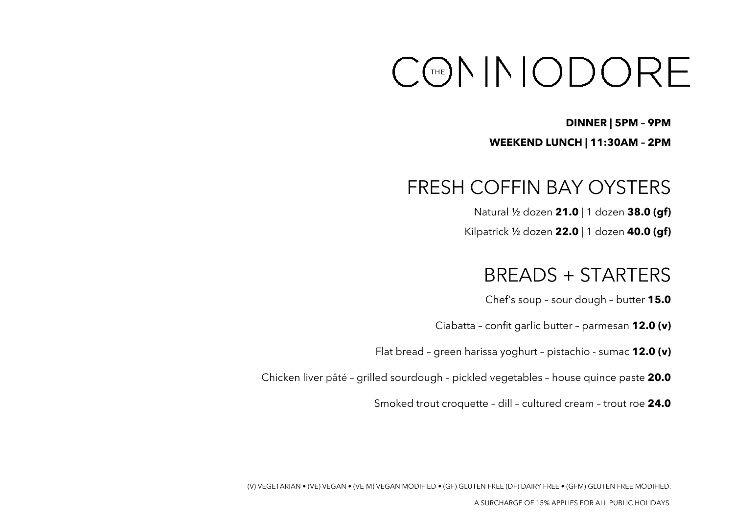# CONNODORE

#### **DINNER | 5PM – 9PM**

#### **WEEKEND LUNCH | 11:30AM – 2PM**

## FRESH COFFIN BAY OYSTERS

Natural ½ dozen **21.0** | 1 dozen **38.0 (gf)**

Kilpatrick ½ dozen **22.0** | 1 dozen **40.0 (gf)**

## BREADS + STARTERS

Chef's soup – sour dough – butter **15.0**

Ciabatta – confit garlic butter – parmesan **12.0 (v)**

Flat bread – green harissa yoghurt – pistachio - sumac **12.0 (v)**

Chicken liver pâté – grilled sourdough – pickled vegetables – house quince paste **20.0**

Smoked trout croquette – dill – cultured cream – trout roe **24.0**

(V) VEGETARIAN • (VE) VEGAN • (VE-M) VEGAN MODIFIED • (GF) GLUTEN FREE (DF) DAIRY FREE • (GFM) GLUTEN FREE MODIFIED.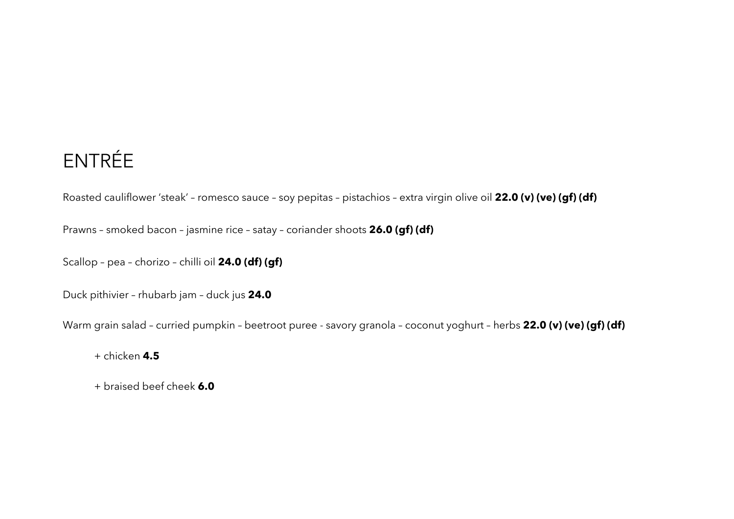## ENTRÉE

Roasted cauliflower 'steak' – romesco sauce – soy pepitas – pistachios – extra virgin olive oil **22.0 (v) (ve) (gf) (df)**

Prawns – smoked bacon – jasmine rice – satay – coriander shoots **26.0 (gf) (df)** 

Scallop – pea – chorizo – chilli oil **24.0 (df) (gf)**

Duck pithivier – rhubarb jam – duck jus **24.0**

Warm grain salad – curried pumpkin – beetroot puree - savory granola – coconut yoghurt – herbs **22.0 (v) (ve) (gf) (df)**

+ chicken **4.5**

+ braised beef cheek **6.0**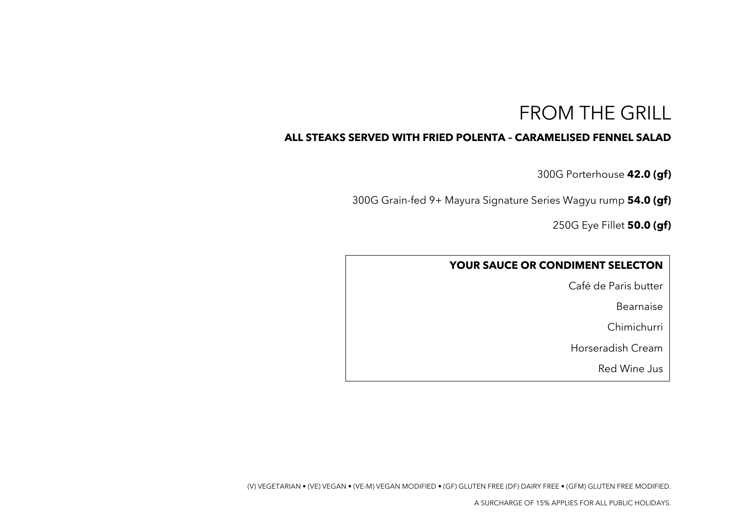## FROM THE GRILL

#### **ALL STEAKS SERVED WITH FRIED POLENTA – CARAMELISED FENNEL SALAD**

300G Porterhouse **42.0 (gf)**

300G Grain-fed 9+ Mayura Signature Series Wagyu rump **54.0 (gf)**

250G Eye Fillet **50.0 (gf)**

#### **YOUR SAUCE OR CONDIMENT SELECTON**

Café de Paris butter

Bearnaise

Chimichurri

Horseradish Cream

Red Wine Jus

(V) VEGETARIAN • (VE) VEGAN • (VE-M) VEGAN MODIFIED • (GF) GLUTEN FREE (DF) DAIRY FREE • (GFM) GLUTEN FREE MODIFIED.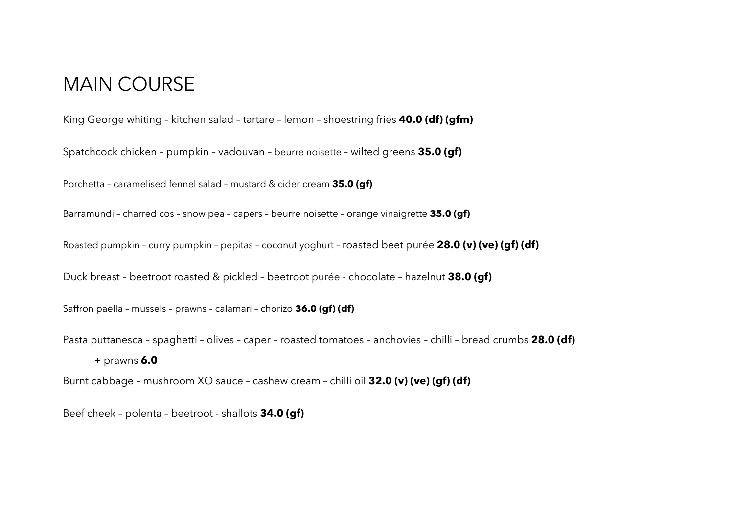#### MAIN COURSE

King George whiting – kitchen salad – tartare – lemon – shoestring fries **40.0 (df) (gfm)**

Spatchcock chicken – pumpkin – vadouvan – beurre noisette – wilted greens **35.0 (gf)**

Porchetta – caramelised fennel salad – mustard & cider cream **35.0 (gf)**

Barramundi – charred cos – snow pea – capers – beurre noisette – orange vinaigrette **35.0 (gf)**

Roasted pumpkin – curry pumpkin – pepitas – coconut yoghurt – roasted beet purée **28.0 (v) (ve) (gf) (df)**

Duck breast – beetroot roasted & pickled – beetroot purée - chocolate – hazelnut **38.0 (gf)**

Saffron paella – mussels – prawns – calamari – chorizo **36.0 (gf) (df)**

Pasta puttanesca – spaghetti – olives – caper – roasted tomatoes – anchovies – chilli – bread crumbs **28.0 (df)**

+ prawns **6.0**

Burnt cabbage – mushroom XO sauce – cashew cream – chilli oil **32.0 (v) (ve) (gf) (df)**

Beef cheek – polenta – beetroot - shallots **34.0 (gf)**